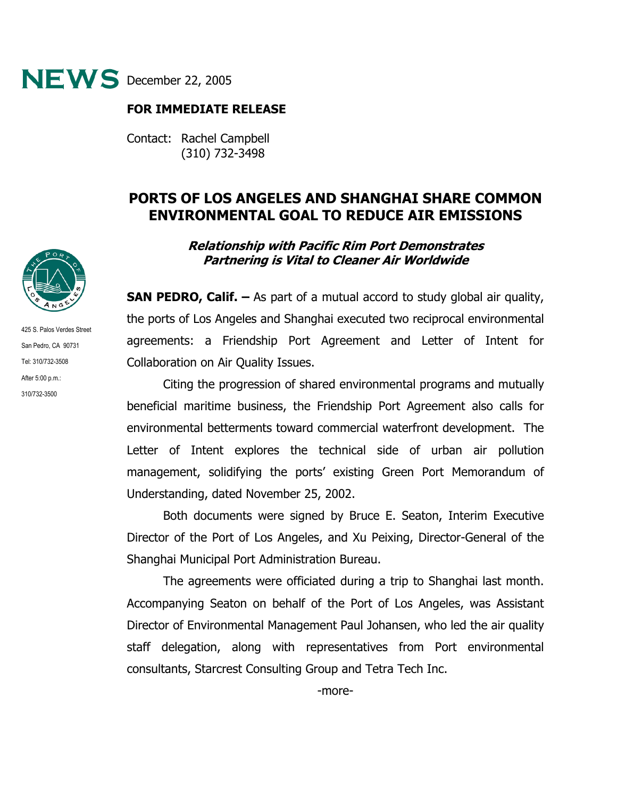

## **FOR IMMEDIATE RELEASE**

Contact: Rachel Campbell (310) 732-3498

## **PORTS OF LOS ANGELES AND SHANGHAI SHARE COMMON ENVIRONMENTAL GOAL TO REDUCE AIR EMISSIONS**

## **Relationship with Pacific Rim Port Demonstrates Partnering is Vital to Cleaner Air Worldwide**

**SAN PEDRO, Calif. –** As part of a mutual accord to study global air quality, the ports of Los Angeles and Shanghai executed two reciprocal environmental agreements: a Friendship Port Agreement and Letter of Intent for Collaboration on Air Quality Issues.

 Citing the progression of shared environmental programs and mutually beneficial maritime business, the Friendship Port Agreement also calls for environmental betterments toward commercial waterfront development. The Letter of Intent explores the technical side of urban air pollution management, solidifying the ports' existing Green Port Memorandum of Understanding, dated November 25, 2002.

Both documents were signed by Bruce E. Seaton, Interim Executive Director of the Port of Los Angeles, and Xu Peixing, Director-General of the Shanghai Municipal Port Administration Bureau.

The agreements were officiated during a trip to Shanghai last month. Accompanying Seaton on behalf of the Port of Los Angeles, was Assistant Director of Environmental Management Paul Johansen, who led the air quality staff delegation, along with representatives from Port environmental consultants, Starcrest Consulting Group and Tetra Tech Inc.



425 S. Palos Verdes Street San Pedro, CA 90731 Tel: 310/732-3508 After 5:00 p.m.: 310/732-3500